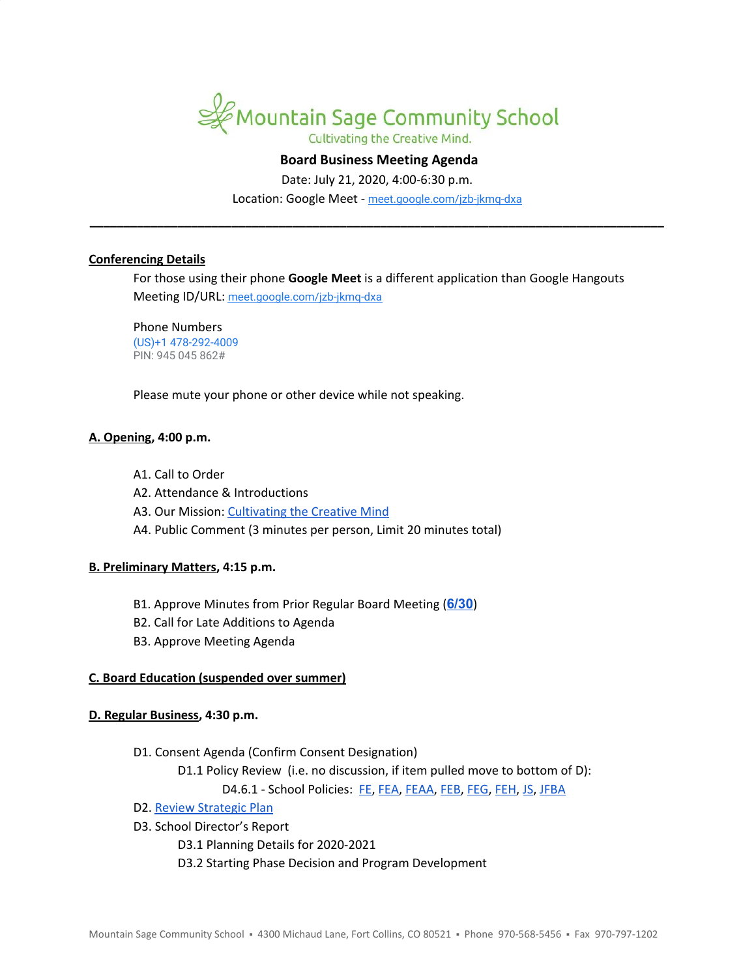

# **Board Business Meeting Agenda**

Date: July 21, 2020, 4:00-6:30 p.m.

Location: Google Meet - [meet.google.com/jzb-jkmq-dxa](https://meet.google.com/jzb-jkmq-dxa?hs=122&authuser=1) **\_\_\_\_\_\_\_\_\_\_\_\_\_\_\_\_\_\_\_\_\_\_\_\_\_\_\_\_\_\_\_\_\_\_\_\_\_\_\_\_\_\_\_\_\_\_\_\_\_\_\_\_\_\_\_\_\_\_\_\_\_\_\_\_\_\_\_\_\_\_\_\_\_\_\_\_\_\_\_\_\_\_\_\_\_**

#### **Conferencing Details**

For those using their phone **Google Meet** is a different application than Google Hangouts Meeting ID/URL: [meet.google.com/jzb-jkmq-dxa](https://meet.google.com/jzb-jkmq-dxa?hs=122&authuser=1)

Phone Numbers (US)+1 478-292-4009 PIN: 945 045 862#

Please mute your phone or other device while not speaking.

# **A. Opening, 4:00 p.m.**

- A1. Call to Order
- A2. Attendance & Introductions
- A3. Our Mission: [Cultivating](http://www.mountainsage.org/mission-and-vision.html) the Creative Mind
- A4. Public Comment (3 minutes per person, Limit 20 minutes total)

## **B. Preliminary Matters, 4:15 p.m.**

- B1. Approve Minutes from Prior Regular Board Meeting (**[6/30](https://docs.google.com/document/d/11szQGzrDmZokDxWeJRuoKuN1tMO5mXkzslitx3Q_LrU/edit?usp=sharing)**)
- B2. Call for Late Additions to Agenda
- B3. Approve Meeting Agenda

## **C. Board Education (suspended over summer)**

## **D. Regular Business, 4:30 p.m.**

- D1. Consent Agenda (Confirm Consent Designation)
	- D1.1 Policy Review (i.e. no discussion, if item pulled move to bottom of D):

D4.6.1 - School Policies: [FE,](https://docs.google.com/document/d/1wGxFasZ0dE6Ne5s7KRrIRO0cnZKQPnwQxOd-v52eaoo) [FEA](https://docs.google.com/document/d/1BWQWCyUn1LxwknXypc69WFyVxJ1piXju4kMvW-dwy1A), [FEAA,](https://docs.google.com/document/d/1uRyiir_G8BUEF5x6Hub_WrxYBs9m88mlTIw3E-vyM6A) [FEB,](https://docs.google.com/document/d/1pThbHJkD6v6ceYmAsNUip-Nmx194ynGWcwVEx4LVGH0) [FEG,](https://docs.google.com/document/d/16KsAgFybbQ34_MHxjsQUp8QXMuhMP0Hq1VwV2zTTDIc) [FEH](https://docs.google.com/document/d/1z-DZJGivIvEx3R5OBiI3HKAe2djMkUwX92mxzw0ManE), [JS](https://docs.google.com/document/d/1rf5GBWs-YOgZhMLOzJxPMH3JRSSvb52K1Sytz0KNBiU), [JFBA](https://docs.google.com/document/d/1m83NJgTOFSnZcpq29US3wrK9G-vkSo7I16H8EIPojG0)

- D2. Review [Strategic](https://drive.google.com/file/d/1bIEAL8S8NnDx9PPJRR79h1dLsXFMCh-t/view?usp=sharing) Plan
- D3. School Director's Report
	- D3.1 Planning Details for 2020-2021
	- D3.2 Starting Phase Decision and Program Development